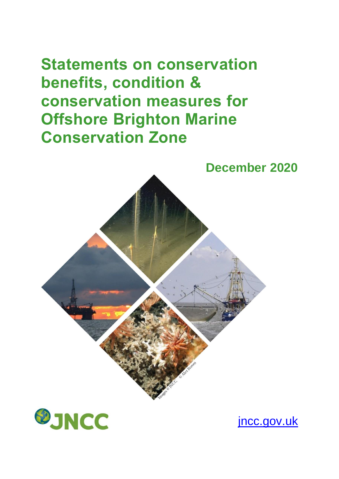# **Statements on conservation benefits, condition & conservation measures for Offshore Brighton Marine Conservation Zone**





[jncc.gov.uk](http://jncc.gov.uk/)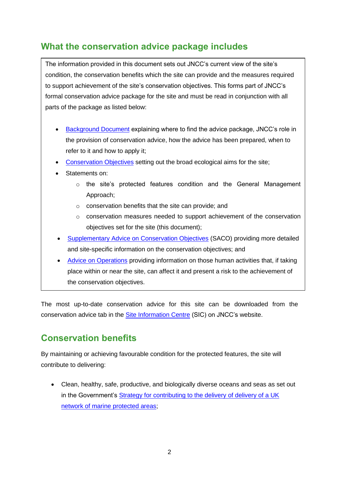## **What the conservation advice package includes**

The information provided in this document sets out JNCC's current view of the site's condition, the conservation benefits which the site can provide and the measures required to support achievement of the site's conservation objectives. This forms part of JNCC's formal conservation advice package for the site and must be read in conjunction with all parts of the package as listed below:

- [Background](http://jncc.defra.gov.uk/pdf/OffshoreBrighton_Background_V1.0.pdf) Document explaining where to find the advice package, JNCC's role in the provision of conservation advice, how the advice has been prepared, when to refer to it and how to apply it;
- [Conservation Objectives](http://jncc.defra.gov.uk/pdf/OffshoreBrighton_ConservationObjectives_V1.0.pdf) setting out the broad ecological aims for the site;
- Statements on:
	- o the site's protected features condition and the General Management Approach;
	- o conservation benefits that the site can provide; and
	- $\circ$  conservation measures needed to support achievement of the conservation objectives set for the site (this document);
- [Supplementary Advice on Conservation Objectives](http://jncc.defra.gov.uk/pdf/OffshoreBrighton_SACO_V1.0.pdf) (SACO) providing more detailed and site-specific information on the conservation objectives; and
- [Advice on Operations](http://jncc.defra.gov.uk/docs/OffshoreBrighton_AdviceOnOperations_V1.0.xlsx) providing information on those human activities that, if taking place within or near the site, can affect it and present a risk to the achievement of the conservation objectives.

The most up-to-date conservation advice for this site can be downloaded from the conservation advice tab in the [Site Information Centre](http://jncc.defra.gov.uk/page-6775) (SIC) on JNCC's website.

## **Conservation benefits**

By maintaining or achieving favourable condition for the protected features, the site will contribute to delivering:

• Clean, healthy, safe, productive, and biologically diverse oceans and seas as set out in the Government's [Strategy for contributing to the delivery of delivery of a UK](http://webarchive.nationalarchives.gov.uk/20130403054143/http:/archive.defra.gov.uk/environment/marine/documents/mpa-strategy100330.pdf)  [network of marine protected areas;](http://webarchive.nationalarchives.gov.uk/20130403054143/http:/archive.defra.gov.uk/environment/marine/documents/mpa-strategy100330.pdf)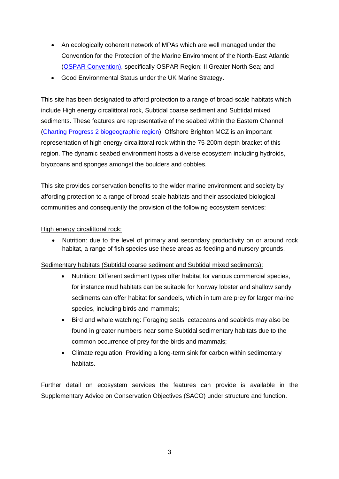- An ecologically coherent network of MPAs which are well managed under the Convention for the Protection of the Marine Environment of the North-East Atlantic [\(OSPAR Convention\)](http://www.google.co.uk/url?sa=t&rct=j&q=&esrc=s&source=web&cd=1&cad=rja&uact=8&ved=0ahUKEwiH_6HQ9_nWAhWPF8AKHZWEC1EQFggmMAA&url=http%3A%2F%2Fjncc.defra.gov.uk%2Fpdf%2F06-03e_Guidance%2520ecol%2520coherence%2520MPA%2520network.pdf&usg=AOvVaw1ezMWbIWOM2xsUvBzKwao6), specifically OSPAR Region: II Greater North Sea; and
- Good Environmental Status under the UK Marine Strategy.

This site has been designated to afford protection to a range of broad-scale habitats which include High energy circalittoral rock, Subtidal coarse sediment and Subtidal mixed sediments. These features are representative of the seabed within the Eastern Channel [\(Charting Progress 2 biogeographic region\)](http://chartingprogress.defra.gov.uk/regional-basis-charting-progress-2). Offshore Brighton MCZ is an important representation of high energy circalittoral rock within the 75-200m depth bracket of this region. The dynamic seabed environment hosts a diverse ecosystem including hydroids, bryozoans and sponges amongst the boulders and cobbles.

This site provides conservation benefits to the wider marine environment and society by affording protection to a range of broad-scale habitats and their associated biological communities and consequently the provision of the following ecosystem services:

#### High energy circalittoral rock:

• Nutrition: due to the level of primary and secondary productivity on or around rock habitat, a range of fish species use these areas as feeding and nursery grounds.

#### Sedimentary habitats (Subtidal coarse sediment and Subtidal mixed sediments):

- Nutrition: Different sediment types offer habitat for various commercial species, for instance mud habitats can be suitable for Norway lobster and shallow sandy sediments can offer habitat for sandeels, which in turn are prey for larger marine species, including birds and mammals;
- Bird and whale watching: Foraging seals, cetaceans and seabirds may also be found in greater numbers near some Subtidal sedimentary habitats due to the common occurrence of prey for the birds and mammals;
- Climate regulation: Providing a long-term sink for carbon within sedimentary habitats.

Further detail on ecosystem services the features can provide is available in the Supplementary Advice on Conservation Objectives (SACO) under structure and function.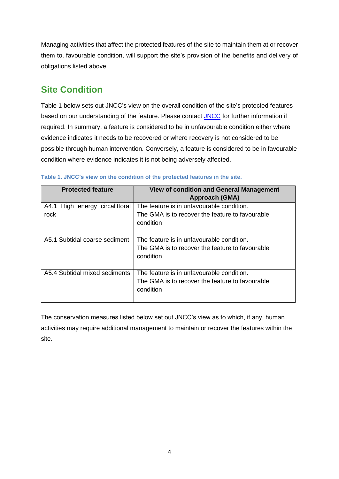Managing activities that affect the protected features of the site to maintain them at or recover them to, favourable condition, will support the site's provision of the benefits and delivery of obligations listed above.

## **Site Condition**

Table 1 below sets out JNCC's view on the overall condition of the site's protected features based on our understanding of the feature. Please contact [JNCC](mailto:OffshoreMPAs@jncc.gov.uk) for further information if required. In summary, a feature is considered to be in unfavourable condition either where evidence indicates it needs to be recovered or where recovery is not considered to be possible through human intervention. Conversely, a feature is considered to be in favourable condition where evidence indicates it is not being adversely affected.

| <b>Protected feature</b>               | <b>View of condition and General Management</b><br><b>Approach (GMA)</b>                                  |
|----------------------------------------|-----------------------------------------------------------------------------------------------------------|
| A4.1 High energy circalittoral<br>rock | The feature is in unfavourable condition.<br>The GMA is to recover the feature to favourable<br>condition |
| A5.1 Subtidal coarse sediment          | The feature is in unfavourable condition.<br>The GMA is to recover the feature to favourable<br>condition |
| A5.4 Subtidal mixed sediments          | The feature is in unfavourable condition.<br>The GMA is to recover the feature to favourable<br>condition |

**Table 1. JNCC's view on the condition of the protected features in the site.**

The conservation measures listed below set out JNCC's view as to which, if any, human activities may require additional management to maintain or recover the features within the site.